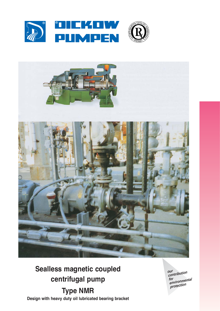



# **Sealless magnetic coupled** centrifugal pump **Type NMR**

Design with heavy duty oil lubricated bearing bracket

our<br>contribution rur<br>environmental<br>protection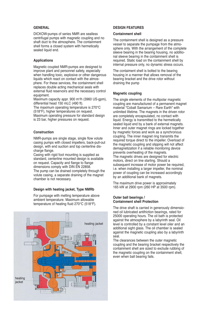# **GENERAL**

DICKOW-pumps of series NMR are sealless centrifugal pumps with magnetic coupling and no shaft duct to the atmosphere. The containment shell forms a closed system with hermetically sealed liquid end.

## **Applications**

Magnetic coupled NMR-pumps are designed to improve plant and personnel safety, especially when handling toxic, explosive or other dangerous liquids which react on contact with the atmosphere. For these services, the containment shell replaces double acting mechanical seals with external fluid reservoirs and the necessary control equipment.

Maximum capacity appr. 900 m3 /h (3960 US-gpm), differential head 150 mLC (490 ft).

The maximum operating temperature is 270°C (518°F), higher temperatures on request. Maximum operating pressure for standard design is 23 bar, higher pressures on request.

# **Construction**

NMR-pumps are single stage, single flow volute casing pumps with closed impellers, back-pull-out design, with end suction and top centerline discharge flange.

Casing with rigid foot mounting is supplied as standard, centerline mounted design is available on request. Capacity and flange to flange dimensions comply with DIN EN 22858. The pump can be drained completely through the volute casing, a separate draining of the magnet chamber is not necessary.

## **Design with heating jacket, Type NMRb**

For pumpage with melting temperature above ambient temperature. Maximum allowable temperature of heating fluid 270°C (518°F).



## **DESIGN FEATURES**

## **Containment shell**

The containment shell is designed as a pressure vessel to separate the pumpage from the atmosphere only. With the arrangement of the complete sleeve bearing in the bearing housing, no additional sleeve bearing in the containment shell is required. Static load on the containment shell by internal pressure only, no dynamic stress occurs.

The contaiment shell is bolted to the bearing housing in a manner that allows removal of the bearing bracket and the drive rotor without draining the pump

## **Magnetic coupling**

The single elements of the multipolar magnetic coupling are manufactured of a permanent magnet material "Cobalt Samarium – Rare Earth" with unlimited lifetime. The magnets in the driven rotor are completely encapsulated, no contact with liquid. Energy is transmitted to the hermetically sealed liquid end by a bank of external magnets. Inner and outer magnet rings are locked together by magnetic forces and work as a synchronous coupling. The inner magnet ring transmits the required torque direct to the impeller. Overload of the magnetic coupling and slipping will not affect demagnetization if a reliable monitoring device prevents overheating of the magnets. The magnetic drives are designed for electric motors, direct on line starting. Should a subsequent increase of motor power be required, i.e. when installing a larger impeller, the nominal power of coupling can be increased accordingly by an additional bank of magnets.

The maximum drive power is approximately 165 kW at 2900 rpm (260 HP at 3500 rpm).

## **Outer ball bearings / Containment shell Protection**

The drive shaft is carried in generously dimensioned oil lubricated antifriction bearings, rated for 25000 operating hours. The oil bath is protected against the atmosphere by a labyrinth seal. Oil level is controlled by a constant level oiler and an additional sight glass. The oil chamber is sealed against the magnetic coupling also by a labyrinth seal.

The clearances between the outer magnetic coupling and the bearing bracket respectively the containment shell are sized to exclude rubbing of the magnetic coupling on the containment shell, even when ball bearing fails.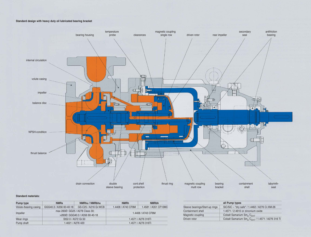# **Standard design with heavy duty oil lubricated bearing bracket**



# **Standard materials:**

| Pump type              | <b>NMRs</b>                     | NMRhu / NMRbhu       | <b>NMRh</b>         | <b>NMRbh</b>         |
|------------------------|---------------------------------|----------------------|---------------------|----------------------|
| Volute-/bearing casing | GGG40.3 / A356 60-40-18         | GS-C25 / A216 Gr.WCB | 1.4408 / A743 CF8M  | 1.4581 / A351 CF10MC |
| Impeller               | max 2600: GG25 / A278 Class 30; |                      | 1.4408 / A743 CF8M  |                      |
|                        | >2600: GGG40.3 / A356 60-40-18  |                      |                     |                      |
| Wear rings             | St52-3 / A572 Gr.50             |                      | 1.4571 / A276 316Ti |                      |
| Pump shaft             | 1.4021 / A276 420               |                      | 1.4571 / A276 316Ti |                      |

| all Pump types                 |                                                                         |  |  |
|--------------------------------|-------------------------------------------------------------------------|--|--|
| Sleeve bearings/Start-up rings | SiC/SiC - "dry safe" / 1.4462 / A276 Cr.XM-26                           |  |  |
| Containment shell              | 1.4571 / 2.4610 or zirconium oxide                                      |  |  |
| Magnetic coupling              | Cobalt Samarium Sm <sub>2</sub> $C_{O17}$                               |  |  |
| Driven rotor                   | Cobalt Samarium Sm <sub>2</sub> C <sub>O17</sub> / 1.4571 / A276 316 Ti |  |  |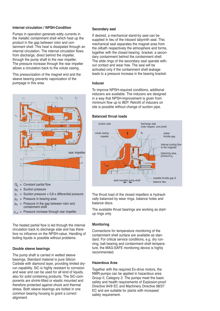# **Internal circulation / NPSH-Condition**

Pumps in operation generate eddy currents in the metallic containment shell which heat up the product in the gap between rotor and containment shell. This heat is dissipated through an internal circulation. The internal circulation flows from discharge, direct behind the impeller. through the pump shaft to the rear impeller. The pressure increase through the rear impeller allows a circulation back to the volute casing.

This pressurization of the magnet end and the sleeve bearing prevents vaporization of the pumpage in this area.



 $\Delta_p$  = Pressure increase through rear impeller

The heated partial flow is led through the internal circulation back to discharge side and has therefore no influence on the NPSH-value. Handling of boiling liquids is possible without problems.

# **Double sleeve bearings**

The pump shaft is carried in wetted sleeve bearings. Standard material is pure Silicon Carbide with diamond layer, providing limited dryrun capability. SiC is highly resistant to corrosion and wear and can be used for all kind of liquids, also for solid containing products. The SiC-components are shrink-fitted or elastic mounted and therefore protected against shock and thermal stress. Both sleeve bearings are bolted in one common bearing housing to grant a correct alignment.

#### **Secondary seal**

If desired, a mechanical stand-by seal can be supplied in lieu of the inboard labyrinth seal. This mechanical seal separates the magnet area from the oilbath respectively the atmosphere and forms, together with the closed bearing bracket, a secondary containment behind the containment shell. The slide rings of the secondary seal operate without contact and wear free. The seal will be activated only if the containment shell leakage leads to a pressure increase in the bearing bracket.

## **Inducer**

To improve NPSH-required conditions, additional inducers are available. The inducers are designed in a way that NPSH-improvement is given from minimum flow up to BEP. Retrofit of inducers on site is possible without change of suction pipe.

#### **Balanced thrust loads**



The thrust load of the closed impellers is hydraulically balanced by wear rings, balance holes and balance discs.

The available thrust bearings are working as startup rings only.

## **Monitoring**

Connections for temperature monitoring of the containment shell surface are available as standard. For critical service conditions, e.g. dry running, ball bearing and containment shell temperature, the MAG-SAFE monitoring device is highly recommended.

## **Hazardous Area**

Together with the required Ex-drive motors, the NMR-pumps can be applied in hazardous area Group II, Category 2. The pumps meet the basic safety and health requirements of Explosion-proof Directive 94/9 EC and Machinery Directive 98/37 EC and are suitable for plants with increased safety requirement.